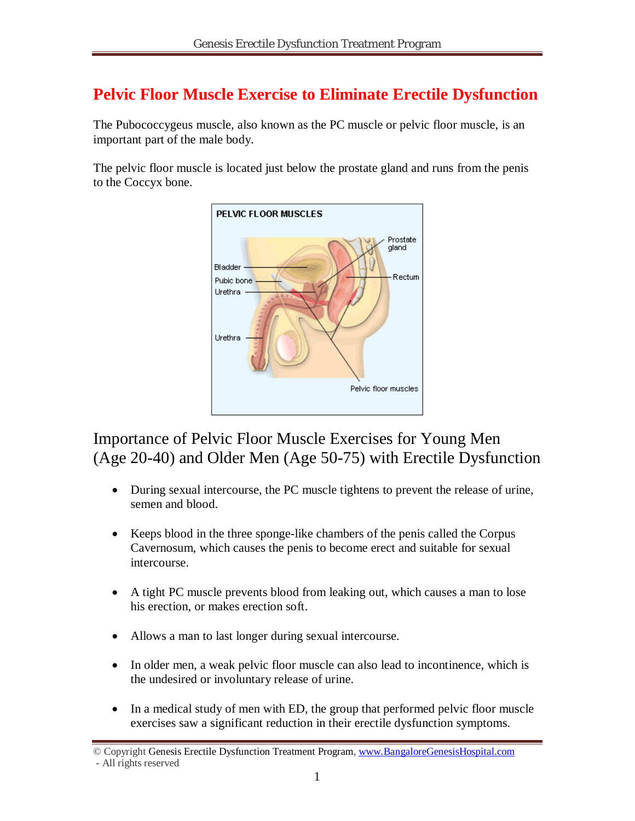# **Pelvic Floor Muscle Exercise to Eliminate Erectile Dysfunction**

The Pubococcygeus muscle, also known as the PC muscle or pelvic floor muscle, is an important part of the male body.

The pelvic floor muscle is located just below the prostate gland and runs from the penis to the Coccyx bone.



# Importance of Pelvic Floor Muscle Exercises for Young Men (Age 20-40) and Older Men (Age 50-75) with Erectile Dysfunction

- During sexual intercourse, the PC muscle tightens to prevent the release of urine, semen and blood.
- Keeps blood in the three sponge-like chambers of the penis called the Corpus Cavernosum, which causes the penis to become erect and suitable for sexual intercourse.
- A tight PC muscle prevents blood from leaking out, which causes a man to lose his erection, or makes erection soft.
- Allows a man to last longer during sexual intercourse.
- In older men, a weak pelvic floor muscle can also lead to incontinence, which is the undesired or involuntary release of urine.
- In a medical study of men with ED, the group that performed pelvic floor muscle exercises saw a significant reduction in their erectile dysfunction symptoms.

<sup>©</sup> Copyright Genesis Erectile Dysfunction Treatment Program, www.BangaloreGenesisHospital.com - All rights reserved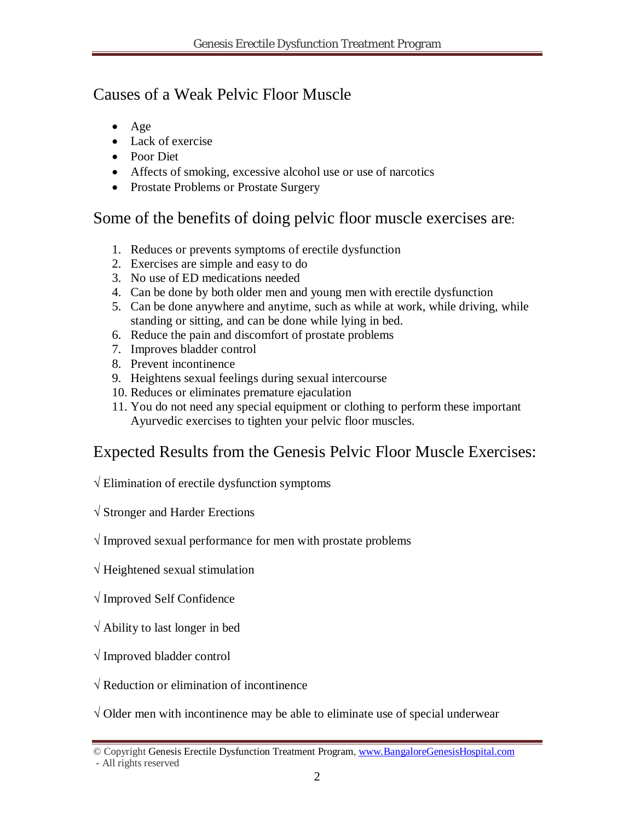## Causes of a Weak Pelvic Floor Muscle

- Age
- Lack of exercise
- Poor Diet
- Affects of smoking, excessive alcohol use or use of narcotics
- Prostate Problems or Prostate Surgery

# Some of the benefits of doing pelvic floor muscle exercises are:

- 1. Reduces or prevents symptoms of erectile dysfunction
- 2. Exercises are simple and easy to do
- 3. No use of ED medications needed
- 4. Can be done by both older men and young men with erectile dysfunction
- 5. Can be done anywhere and anytime, such as while at work, while driving, while standing or sitting, and can be done while lying in bed.
- 6. Reduce the pain and discomfort of prostate problems
- 7. Improves bladder control
- 8. Prevent incontinence
- 9. Heightens sexual feelings during sexual intercourse
- 10. Reduces or eliminates premature ejaculation
- 11. You do not need any special equipment or clothing to perform these important Ayurvedic exercises to tighten your pelvic floor muscles.

# Expected Results from the Genesis Pelvic Floor Muscle Exercises:

- **√** Elimination of erectile dysfunction symptoms
- **√** Stronger and Harder Erections

### **√** Improved sexual performance for men with prostate problems

- **√** Heightened sexual stimulation
- **√** Improved Self Confidence
- **√** Ability to last longer in bed
- **√** Improved bladder control
- **√** Reduction or elimination of incontinence

**√** Older men with incontinence may be able to eliminate use of special underwear

<sup>©</sup> Copyright Genesis Erectile Dysfunction Treatment Program, www.BangaloreGenesisHospital.com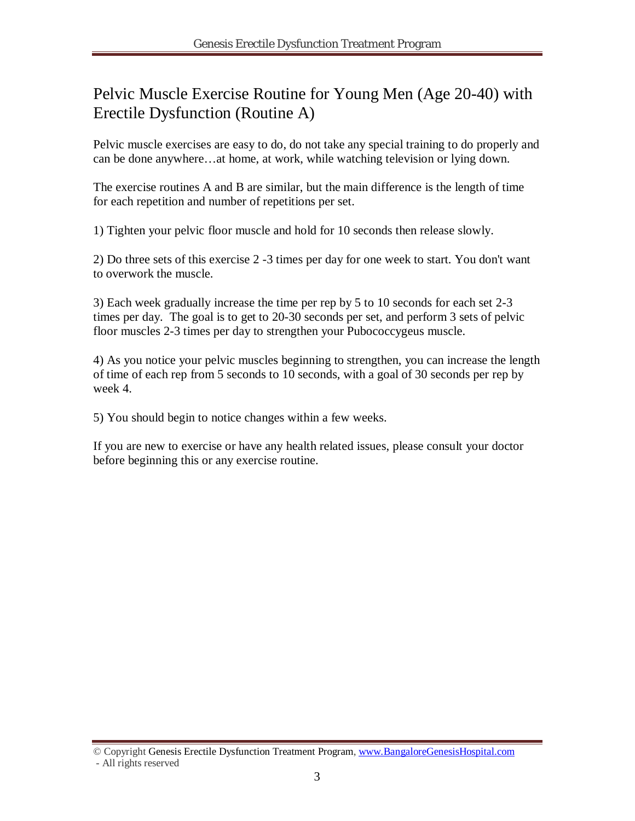## Pelvic Muscle Exercise Routine for Young Men (Age 20-40) with Erectile Dysfunction (Routine A)

Pelvic muscle exercises are easy to do, do not take any special training to do properly and can be done anywhere…at home, at work, while watching television or lying down.

The exercise routines A and B are similar, but the main difference is the length of time for each repetition and number of repetitions per set.

1) Tighten your pelvic floor muscle and hold for 10 seconds then release slowly.

2) Do three sets of this exercise 2 -3 times per day for one week to start. You don't want to overwork the muscle.

3) Each week gradually increase the time per rep by 5 to 10 seconds for each set 2-3 times per day. The goal is to get to 20-30 seconds per set, and perform 3 sets of pelvic floor muscles 2-3 times per day to strengthen your Pubococcygeus muscle.

4) As you notice your pelvic muscles beginning to strengthen, you can increase the length of time of each rep from 5 seconds to 10 seconds, with a goal of 30 seconds per rep by week 4.

5) You should begin to notice changes within a few weeks.

If you are new to exercise or have any health related issues, please consult your doctor before beginning this or any exercise routine.

<sup>©</sup> Copyright Genesis Erectile Dysfunction Treatment Program, www.BangaloreGenesisHospital.com - All rights reserved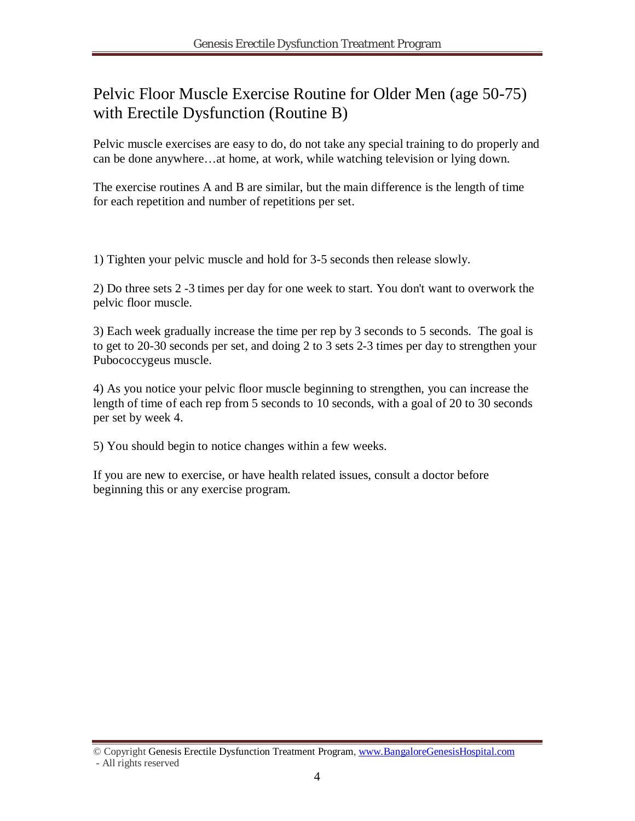## Pelvic Floor Muscle Exercise Routine for Older Men (age 50-75) with Erectile Dysfunction (Routine B)

Pelvic muscle exercises are easy to do, do not take any special training to do properly and can be done anywhere…at home, at work, while watching television or lying down.

The exercise routines A and B are similar, but the main difference is the length of time for each repetition and number of repetitions per set.

1) Tighten your pelvic muscle and hold for 3-5 seconds then release slowly.

2) Do three sets 2 -3 times per day for one week to start. You don't want to overwork the pelvic floor muscle.

3) Each week gradually increase the time per rep by 3 seconds to 5 seconds. The goal is to get to 20-30 seconds per set, and doing 2 to 3 sets 2-3 times per day to strengthen your Pubococcygeus muscle.

4) As you notice your pelvic floor muscle beginning to strengthen, you can increase the length of time of each rep from 5 seconds to 10 seconds, with a goal of 20 to 30 seconds per set by week 4.

5) You should begin to notice changes within a few weeks.

If you are new to exercise, or have health related issues, consult a doctor before beginning this or any exercise program.

<sup>©</sup> Copyright Genesis Erectile Dysfunction Treatment Program, www.BangaloreGenesisHospital.com